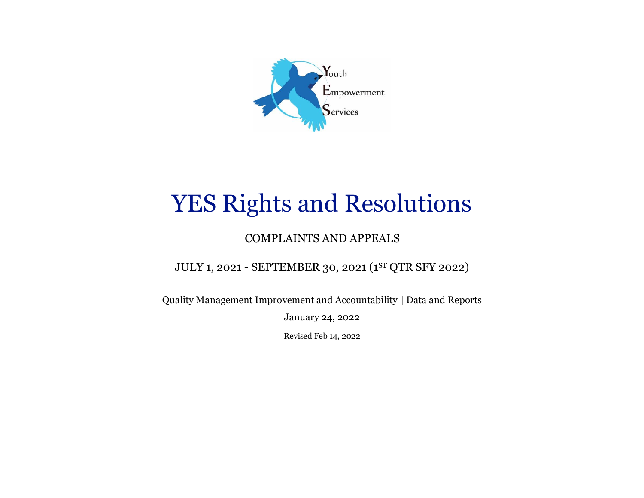

# YES Rights and Resolutions

## COMPLAINTS AND APPEALS

JULY 1, 2021 - SEPTEMBER 30, 2021 (1 ST QTR SFY 2022)

Quality Management Improvement and Accountability | Data and Reports

January 24, 2022

Revised Feb 14, 2022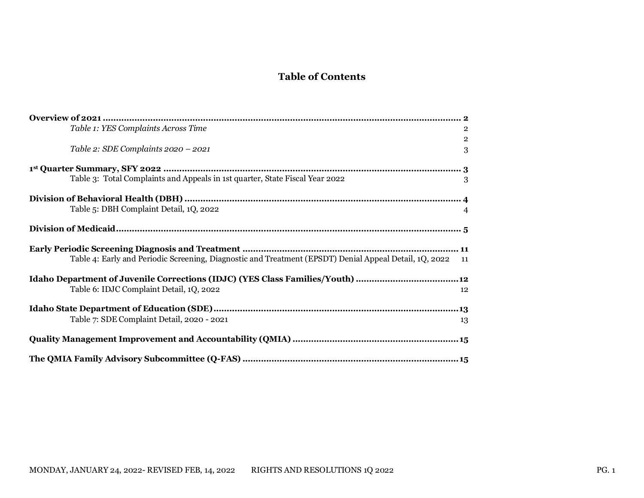### **Table of Contents**

| Table 1: YES Complaints Across Time                                                                       | $\overline{2}$ |
|-----------------------------------------------------------------------------------------------------------|----------------|
|                                                                                                           | $\overline{2}$ |
| Table 2: SDE Complaints 2020 - 2021                                                                       | 3              |
|                                                                                                           |                |
| Table 3: Total Complaints and Appeals in 1st quarter, State Fiscal Year 2022                              | 3              |
|                                                                                                           |                |
| Table 5: DBH Complaint Detail, 1Q, 2022                                                                   | $\overline{4}$ |
|                                                                                                           |                |
|                                                                                                           |                |
| Table 4: Early and Periodic Screening, Diagnostic and Treatment (EPSDT) Denial Appeal Detail, 1Q, 2022 11 |                |
| Idaho Department of Juvenile Corrections (IDJC) (YES Class Families/Youth) 12                             |                |
| Table 6: IDJC Complaint Detail, 1Q, 2022                                                                  | 12             |
|                                                                                                           |                |
| Table 7: SDE Complaint Detail, 2020 - 2021                                                                | 13             |
|                                                                                                           |                |
|                                                                                                           |                |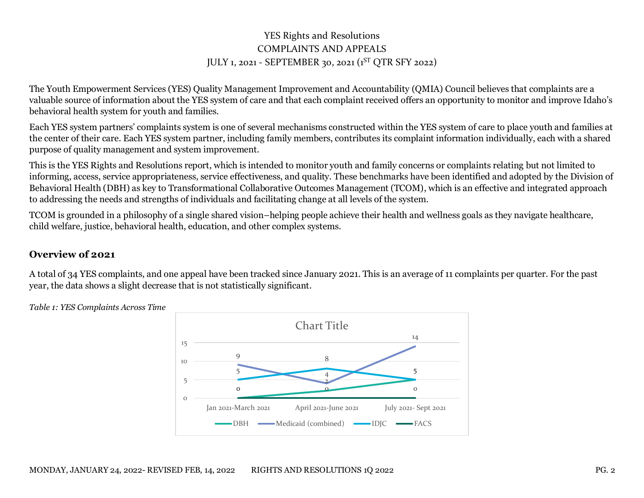#### YES Rights and Resolutions COMPLAINTS AND APPEALS JULY 1, 2021 - SEPTEMBER 30, 2021 (1 ST QTR SFY 2022)

The Youth Empowerment Services (YES) Quality Management Improvement and Accountability (QMIA) Council believes that complaints are a valuable source of information about the YES system of care and that each complaint received offers an opportunity to monitor and improve Idaho's behavioral health system for youth and families.

Each YES system partners' complaints system is one of several mechanisms constructed within the YES system of care to place youth and families at the center of their care. Each YES system partner, including family members, contributes its complaint information individually, each with a shared purpose of quality management and system improvement.

This is the YES Rights and Resolutions report, which is intended to monitor youth and family concerns or complaints relating but not limited to informing, access, service appropriateness, service effectiveness, and quality. These benchmarks have been identified and adopted by the Division of Behavioral Health (DBH) as key to Transformational Collaborative Outcomes Management (TCOM), which is an effective and integrated approach to addressing the needs and strengths of individuals and facilitating change at all levels of the system.

TCOM is grounded in a philosophy of a single shared vision–helping people achieve their health and wellness goals as they navigate healthcare, child welfare, justice, behavioral health, education, and other complex systems.

#### <span id="page-2-0"></span>**Overview of 2021**

A total of 34 YES complaints, and one appeal have been tracked since January 2021. This is an average of 11 complaints per quarter. For the past year, the data shows a slight decrease that is not statistically significant.

> $\mathbf{o}$ 2 5  $\overline{Q}$ 4 14 5 8 0 0  $\Omega$ 5 10 15 Jan 2021-March 2021 April 2021-June 2021 July 2021- Sept 2021 Chart Title DBH 
> Medicaid (combined)
> 
> IDJC
> 
> 
> FACS

<span id="page-2-2"></span><span id="page-2-1"></span>*Table 1: YES Complaints Across Time*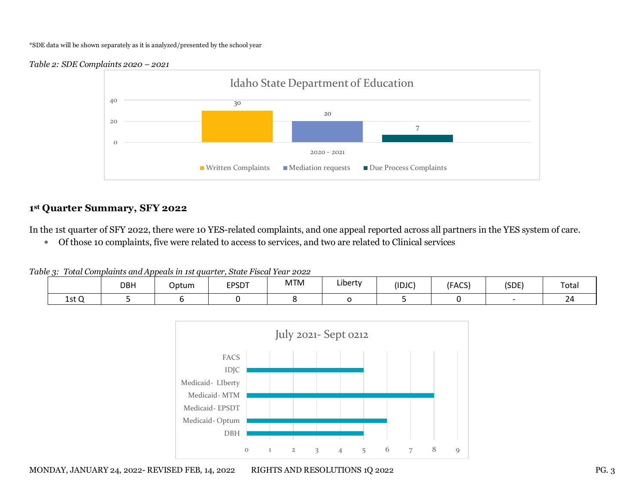#### \*SDE data will be shown separately as it is analyzed/presented by the school year

<span id="page-3-0"></span>



#### <span id="page-3-1"></span>**1st Quarter Summary, SFY 2022**

In the 1st quarter of SFY 2022, there were 10 YES-related complaints, and one appeal reported across all partners in the YES system of care.

Of those 10 complaints, five were related to access to services, and two are related to Clinical services

<span id="page-3-2"></span>*Table 3: Total Complaints and Appeals in 1st quarter, State Fiscal Year 2022*

|       | DBH | Optum | <b>EPSDT</b> | <b>MTM</b> | .<br>∟ibertv | (IDJC) | (FACS) | (SDE) | Total |
|-------|-----|-------|--------------|------------|--------------|--------|--------|-------|-------|
| 1st Q |     |       |              |            |              |        |        |       |       |

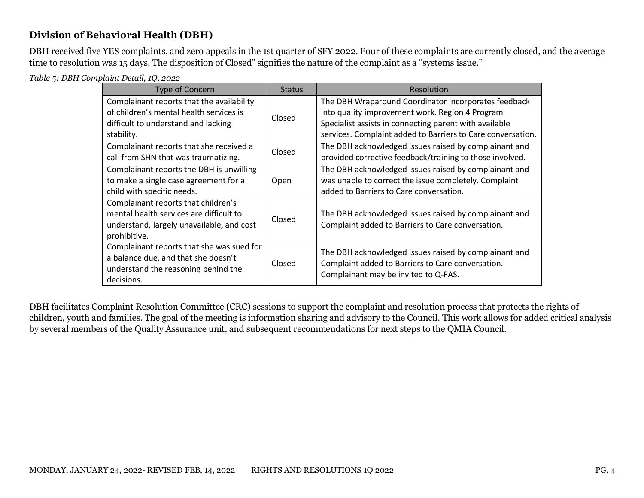#### <span id="page-4-0"></span>**Division of Behavioral Health (DBH)**

DBH received five YES complaints, and zero appeals in the 1st quarter of SFY 2022. Four of these complaints are currently closed, and the average time to resolution was 15 days. The disposition of Closed" signifies the nature of the complaint as a "systems issue."

<span id="page-4-1"></span>*Table 5: DBH Complaint Detail, 1Q, 2022*

| <b>Type of Concern</b>                                                                                                                      | <b>Status</b> | Resolution                                                                                                                                                                                                                       |
|---------------------------------------------------------------------------------------------------------------------------------------------|---------------|----------------------------------------------------------------------------------------------------------------------------------------------------------------------------------------------------------------------------------|
| Complainant reports that the availability<br>of children's mental health services is<br>difficult to understand and lacking<br>stability.   | Closed        | The DBH Wraparound Coordinator incorporates feedback<br>into quality improvement work. Region 4 Program<br>Specialist assists in connecting parent with available<br>services. Complaint added to Barriers to Care conversation. |
| Complainant reports that she received a<br>call from SHN that was traumatizing.                                                             | Closed        | The DBH acknowledged issues raised by complainant and<br>provided corrective feedback/training to those involved.                                                                                                                |
| Complainant reports the DBH is unwilling<br>to make a single case agreement for a<br>child with specific needs.                             | Open          | The DBH acknowledged issues raised by complainant and<br>was unable to correct the issue completely. Complaint<br>added to Barriers to Care conversation.                                                                        |
| Complainant reports that children's<br>mental health services are difficult to<br>understand, largely unavailable, and cost<br>prohibitive. | Closed        | The DBH acknowledged issues raised by complainant and<br>Complaint added to Barriers to Care conversation.                                                                                                                       |
| Complainant reports that she was sued for<br>a balance due, and that she doesn't<br>understand the reasoning behind the<br>decisions.       | Closed        | The DBH acknowledged issues raised by complainant and<br>Complaint added to Barriers to Care conversation.<br>Complainant may be invited to Q-FAS.                                                                               |

DBH facilitates Complaint Resolution Committee (CRC) sessions to support the complaint and resolution process that protects the rights of children, youth and families. The goal of the meeting is information sharing and advisory to the Council. This work allows for added critical analysis by several members of the Quality Assurance unit, and subsequent recommendations for next steps to the QMIA Council.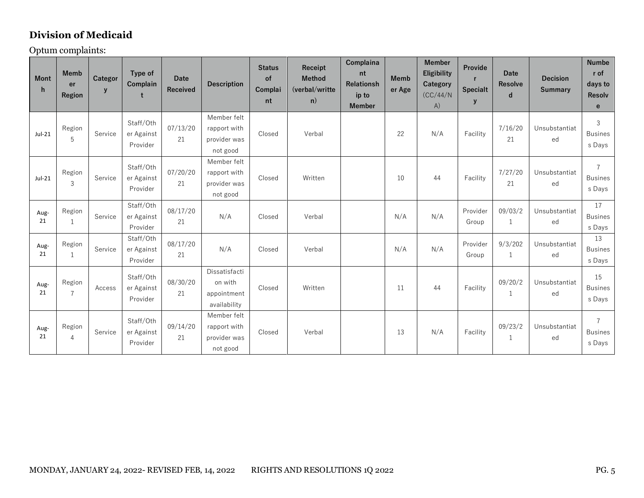### <span id="page-5-0"></span>**Division of Medicaid**

Optum complaints:

| <b>Mont</b><br>h | <b>Memb</b><br>er<br>Region | Categor<br>$\mathbf{y}$ | Type of<br>Complain<br>t            | Date<br>Received | <b>Description</b>                                      | <b>Status</b><br>of<br>Complai<br>nt | Receipt<br><b>Method</b><br>(verbal/writte)<br>n) | Complaina<br>nt<br><b>Relationsh</b><br>ip to<br><b>Member</b> | <b>Memb</b><br>er Age | <b>Member</b><br>Eligibility<br>Category<br>(CC/44/N<br>A) | Provide<br>$\mathbf{r}$<br><b>Specialt</b><br>y | <b>Date</b><br><b>Resolve</b><br>d | <b>Decision</b><br><b>Summary</b> | <b>Numbe</b><br>r of<br>days to<br>Resolv<br>$\mathbf{e}$ |
|------------------|-----------------------------|-------------------------|-------------------------------------|------------------|---------------------------------------------------------|--------------------------------------|---------------------------------------------------|----------------------------------------------------------------|-----------------------|------------------------------------------------------------|-------------------------------------------------|------------------------------------|-----------------------------------|-----------------------------------------------------------|
| Jul-21           | Region<br>5                 | Service                 | Staff/Oth<br>er Against<br>Provider | 07/13/20<br>21   | Member felt<br>rapport with<br>provider was<br>not good | Closed                               | Verbal                                            |                                                                | 22                    | N/A                                                        | Facility                                        | 7/16/20<br>21                      | Unsubstantiat<br>ed               | $\mathbf{3}$<br><b>Busines</b><br>s Days                  |
| $Jul-21$         | Region<br>$\mathfrak{Z}$    | Service                 | Staff/Oth<br>er Against<br>Provider | 07/20/20<br>21   | Member felt<br>rapport with<br>provider was<br>not good | Closed                               | Written                                           |                                                                | 10                    | 44                                                         | Facility                                        | 7/27/20<br>21                      | Unsubstantiat<br>ed               | $\overline{7}$<br><b>Busines</b><br>s Days                |
| Aug-<br>21       | Region<br>1                 | Service                 | Staff/Oth<br>er Against<br>Provider | 08/17/20<br>21   | N/A                                                     | Closed                               | Verbal                                            |                                                                | N/A                   | N/A                                                        | Provider<br>Group                               | 09/03/2<br>$\mathbf{1}$            | Unsubstantiat<br>ed               | 17<br><b>Busines</b><br>s Days                            |
| Aug-<br>21       | Region<br>$\mathbf{1}$      | Service                 | Staff/Oth<br>er Against<br>Provider | 08/17/20<br>21   | N/A                                                     | Closed                               | Verbal                                            |                                                                | N/A                   | N/A                                                        | Provider<br>Group                               | 9/3/202<br>$\mathbf{1}$            | Unsubstantiat<br>ed               | 13<br><b>Busines</b><br>s Days                            |
| Aug-<br>21       | Region<br>$\overline{7}$    | Access                  | Staff/Oth<br>er Against<br>Provider | 08/30/20<br>21   | Dissatisfacti<br>on with<br>appointment<br>availability | Closed                               | Written                                           |                                                                | 11                    | 44                                                         | Facility                                        | 09/20/2<br>$\mathbf{1}$            | Unsubstantiat<br>ed               | 15<br><b>Busines</b><br>s Days                            |
| Aug-<br>21       | Region<br>$\overline{4}$    | Service                 | Staff/Oth<br>er Against<br>Provider | 09/14/20<br>21   | Member felt<br>rapport with<br>provider was<br>not good | Closed                               | Verbal                                            |                                                                | 13                    | N/A                                                        | Facility                                        | 09/23/2<br>$\mathbf{1}$            | Unsubstantiat<br>ed               | $\overline{7}$<br><b>Busines</b><br>s Days                |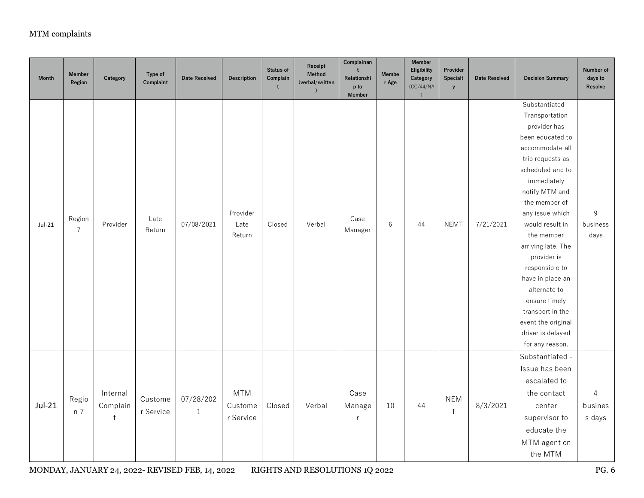| <b>Month</b> | <b>Member</b><br>Region  | Category                            | Type of<br>Complaint | <b>Date Received</b>      | <b>Description</b>                 | Status of<br>Complain<br>t | Receipt<br>Method<br>(verbal/written | Complainan<br>t<br>Relationshi<br>p to<br><b>Member</b> | <b>Membe</b><br>r Age | <b>Member</b><br>Eligibility<br>Category<br>(CC/44/NA<br>$\lambda$ | Provider<br>Specialt<br>${\bf y}$ | <b>Date Resolved</b> | <b>Decision Summary</b>                                                                                                                                                                                                                                                                                                                                                                                                              | Number of<br>days to<br>Resolve |
|--------------|--------------------------|-------------------------------------|----------------------|---------------------------|------------------------------------|----------------------------|--------------------------------------|---------------------------------------------------------|-----------------------|--------------------------------------------------------------------|-----------------------------------|----------------------|--------------------------------------------------------------------------------------------------------------------------------------------------------------------------------------------------------------------------------------------------------------------------------------------------------------------------------------------------------------------------------------------------------------------------------------|---------------------------------|
| Jul-21       | Region<br>$\overline{7}$ | Provider                            | Late<br>Return       | 07/08/2021                | Provider<br>Late<br>Return         | Closed                     | Verbal                               | Case<br>Manager                                         | $\,6\,$               | 44                                                                 | <b>NEMT</b>                       | 7/21/2021            | Substantiated -<br>Transportation<br>provider has<br>been educated to<br>accommodate all<br>trip requests as<br>scheduled and to<br>immediately<br>notify MTM and<br>the member of<br>any issue which<br>would result in<br>the member<br>arriving late. The<br>provider is<br>responsible to<br>have in place an<br>alternate to<br>ensure timely<br>transport in the<br>event the original<br>driver is delayed<br>for any reason. | $\,9$<br>business<br>days       |
| $Jul-21$     | Regio<br>n 7             | Internal<br>Complain<br>$\mathsf t$ | Custome<br>r Service | 07/28/202<br>$\mathbf{1}$ | <b>MTM</b><br>Custome<br>r Service | Closed                     | Verbal                               | Case<br>Manage<br>r                                     | 10                    | 44                                                                 | <b>NEM</b><br>$\top$              | 8/3/2021             | Substantiated -<br>Issue has been<br>escalated to<br>the contact<br>center<br>supervisor to<br>educate the<br>MTM agent on<br>the MTM                                                                                                                                                                                                                                                                                                | $\sqrt{4}$<br>busines<br>s days |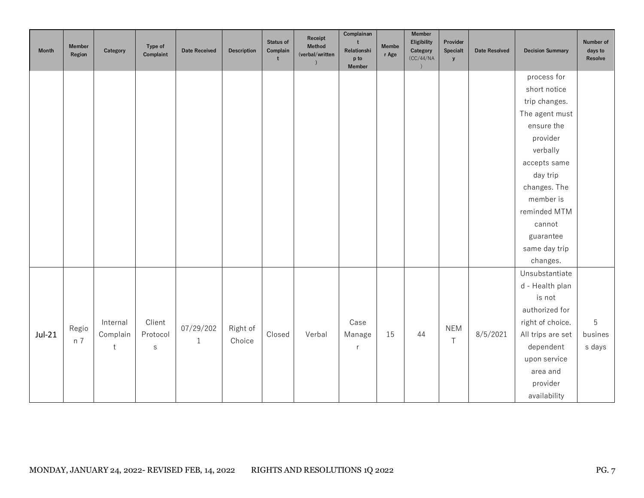| <b>Month</b> | <b>Member</b><br>Region | Category | Type of<br>Complaint | <b>Date Received</b> | <b>Description</b> | Status of<br>Complain<br>t | Receipt<br>Method<br>(verbal/written | Complainan<br>t<br>Relationshi<br>p to<br>Member | <b>Membe</b><br>r Age | <b>Member</b><br>Eligibility<br>Category<br>(CC/44/NA<br>$\left( \right)$ | Provider<br>Specialt<br>y | <b>Date Resolved</b> | <b>Decision Summary</b> | Number of<br>days to<br>Resolve |
|--------------|-------------------------|----------|----------------------|----------------------|--------------------|----------------------------|--------------------------------------|--------------------------------------------------|-----------------------|---------------------------------------------------------------------------|---------------------------|----------------------|-------------------------|---------------------------------|
|              |                         |          |                      |                      |                    |                            |                                      |                                                  |                       |                                                                           |                           |                      | process for             |                                 |
|              |                         |          |                      |                      |                    |                            |                                      |                                                  |                       |                                                                           |                           |                      | short notice            |                                 |
|              |                         |          |                      |                      |                    |                            |                                      |                                                  |                       |                                                                           |                           |                      | trip changes.           |                                 |
|              |                         |          |                      |                      |                    |                            |                                      |                                                  |                       |                                                                           |                           |                      | The agent must          |                                 |
|              |                         |          |                      |                      |                    |                            |                                      |                                                  |                       |                                                                           |                           |                      | ensure the              |                                 |
|              |                         |          |                      |                      |                    |                            |                                      |                                                  |                       |                                                                           |                           |                      | provider                |                                 |
|              |                         |          |                      |                      |                    |                            |                                      |                                                  |                       |                                                                           |                           |                      | verbally                |                                 |
|              |                         |          |                      |                      |                    |                            |                                      |                                                  |                       |                                                                           |                           |                      | accepts same            |                                 |
|              |                         |          |                      |                      |                    |                            |                                      |                                                  |                       |                                                                           |                           |                      | day trip                |                                 |
|              |                         |          |                      |                      |                    |                            |                                      |                                                  |                       |                                                                           |                           |                      | changes. The            |                                 |
|              |                         |          |                      |                      |                    |                            |                                      |                                                  |                       |                                                                           |                           |                      | member is               |                                 |
|              |                         |          |                      |                      |                    |                            |                                      |                                                  |                       |                                                                           |                           |                      | reminded MTM            |                                 |
|              |                         |          |                      |                      |                    |                            |                                      |                                                  |                       |                                                                           |                           |                      | cannot                  |                                 |
|              |                         |          |                      |                      |                    |                            |                                      |                                                  |                       |                                                                           |                           |                      | guarantee               |                                 |
|              |                         |          |                      |                      |                    |                            |                                      |                                                  |                       |                                                                           |                           |                      | same day trip           |                                 |
|              |                         |          |                      |                      |                    |                            |                                      |                                                  |                       |                                                                           |                           |                      | changes.                |                                 |
|              |                         |          |                      |                      |                    |                            |                                      |                                                  |                       |                                                                           |                           |                      | Unsubstantiate          |                                 |
|              |                         |          |                      |                      |                    |                            |                                      |                                                  |                       |                                                                           |                           |                      | d - Health plan         |                                 |
|              |                         |          |                      |                      |                    |                            |                                      |                                                  |                       |                                                                           |                           |                      | is not                  |                                 |
|              |                         |          |                      |                      |                    |                            |                                      |                                                  |                       |                                                                           |                           |                      | authorized for          |                                 |
|              | Regio                   | Internal | Client               | 07/29/202            | Right of           |                            |                                      | Case                                             |                       |                                                                           | <b>NEM</b>                |                      | right of choice.        | 5                               |
| $Jul-21$     | n 7                     | Complain | Protocol             | $1\,$                | Choice             | Closed                     | Verbal                               | Manage                                           | 15                    | 44                                                                        | $\top$                    | 8/5/2021             | All trips are set       | busines                         |
|              |                         | t        | ${\sf S}$            |                      |                    |                            |                                      | r                                                |                       |                                                                           |                           |                      | dependent               | s days                          |
|              |                         |          |                      |                      |                    |                            |                                      |                                                  |                       |                                                                           |                           |                      | upon service            |                                 |
|              |                         |          |                      |                      |                    |                            |                                      |                                                  |                       |                                                                           |                           |                      | area and                |                                 |
|              |                         |          |                      |                      |                    |                            |                                      |                                                  |                       |                                                                           |                           |                      | provider                |                                 |
|              |                         |          |                      |                      |                    |                            |                                      |                                                  |                       |                                                                           |                           |                      | availability            |                                 |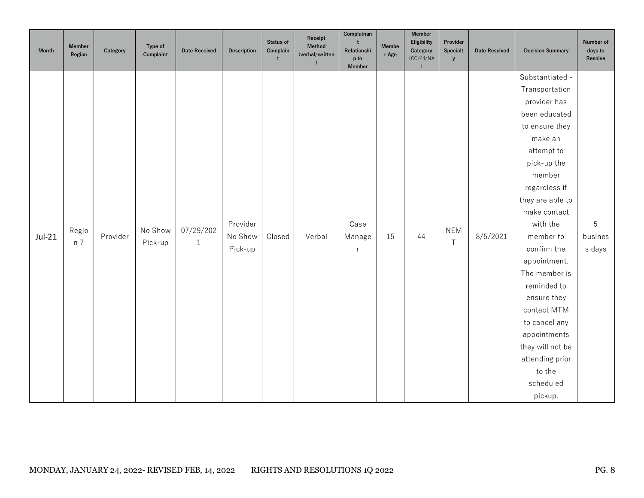| <b>Month</b> | <b>Member</b><br>Region | Category | Type of<br>Complaint | <b>Date Received</b> | <b>Description</b>  | Status of<br>Complain<br>t | Receipt<br>Method<br>(verbal/written | Complainan<br>$\ddot{\phantom{1}}$<br>Relationshi<br>p to<br>Member | <b>Membe</b><br>r Age | <b>Member</b><br>Eligibility<br>Category<br>(CC/44/NA<br>$\lambda$ | Provider<br>Specialt<br>${\bf y}$ | <b>Date Resolved</b> | <b>Decision Summary</b>  | Number of<br>days to<br>Resolve |
|--------------|-------------------------|----------|----------------------|----------------------|---------------------|----------------------------|--------------------------------------|---------------------------------------------------------------------|-----------------------|--------------------------------------------------------------------|-----------------------------------|----------------------|--------------------------|---------------------------------|
|              |                         |          |                      |                      |                     |                            |                                      |                                                                     |                       |                                                                    |                                   |                      | Substantiated -          |                                 |
|              |                         |          |                      |                      |                     |                            |                                      |                                                                     |                       |                                                                    |                                   |                      | Transportation           |                                 |
|              |                         |          |                      |                      |                     |                            |                                      |                                                                     |                       |                                                                    |                                   |                      | provider has             |                                 |
|              |                         |          |                      |                      |                     |                            |                                      |                                                                     |                       |                                                                    |                                   |                      | been educated            |                                 |
|              |                         |          |                      |                      |                     |                            |                                      |                                                                     |                       |                                                                    |                                   |                      | to ensure they           |                                 |
|              |                         |          |                      |                      |                     |                            |                                      |                                                                     |                       |                                                                    |                                   |                      | make an                  |                                 |
|              |                         |          |                      |                      |                     |                            |                                      |                                                                     |                       |                                                                    |                                   |                      | attempt to               |                                 |
|              |                         |          |                      |                      |                     |                            |                                      |                                                                     |                       |                                                                    |                                   |                      | pick-up the              |                                 |
|              |                         |          |                      |                      |                     |                            |                                      |                                                                     |                       |                                                                    |                                   |                      | member                   |                                 |
|              |                         |          |                      |                      |                     |                            |                                      |                                                                     |                       |                                                                    |                                   |                      | regardless if            |                                 |
|              |                         |          |                      |                      |                     |                            |                                      |                                                                     |                       |                                                                    |                                   |                      | they are able to         |                                 |
|              |                         |          |                      |                      |                     |                            |                                      |                                                                     |                       |                                                                    |                                   |                      | make contact<br>with the |                                 |
|              | Regio                   | Provider | No Show              | 07/29/202            | Provider<br>No Show | Closed                     | Verbal                               | Case                                                                |                       | 44                                                                 | <b>NEM</b>                        |                      | member to                | $\mathbf 5$<br>busines          |
| $Jul-21$     | n 7                     |          | Pick-up              | $\mathbf{1}$         | Pick-up             |                            |                                      | Manage                                                              | 15                    |                                                                    | $\top$                            | 8/5/2021             | confirm the              | s days                          |
|              |                         |          |                      |                      |                     |                            |                                      | r                                                                   |                       |                                                                    |                                   |                      | appointment.             |                                 |
|              |                         |          |                      |                      |                     |                            |                                      |                                                                     |                       |                                                                    |                                   |                      | The member is            |                                 |
|              |                         |          |                      |                      |                     |                            |                                      |                                                                     |                       |                                                                    |                                   |                      | reminded to              |                                 |
|              |                         |          |                      |                      |                     |                            |                                      |                                                                     |                       |                                                                    |                                   |                      | ensure they              |                                 |
|              |                         |          |                      |                      |                     |                            |                                      |                                                                     |                       |                                                                    |                                   |                      | contact MTM              |                                 |
|              |                         |          |                      |                      |                     |                            |                                      |                                                                     |                       |                                                                    |                                   |                      | to cancel any            |                                 |
|              |                         |          |                      |                      |                     |                            |                                      |                                                                     |                       |                                                                    |                                   |                      | appointments             |                                 |
|              |                         |          |                      |                      |                     |                            |                                      |                                                                     |                       |                                                                    |                                   |                      | they will not be         |                                 |
|              |                         |          |                      |                      |                     |                            |                                      |                                                                     |                       |                                                                    |                                   |                      | attending prior          |                                 |
|              |                         |          |                      |                      |                     |                            |                                      |                                                                     |                       |                                                                    |                                   |                      | to the                   |                                 |
|              |                         |          |                      |                      |                     |                            |                                      |                                                                     |                       |                                                                    |                                   |                      | scheduled                |                                 |
|              |                         |          |                      |                      |                     |                            |                                      |                                                                     |                       |                                                                    |                                   |                      | pickup.                  |                                 |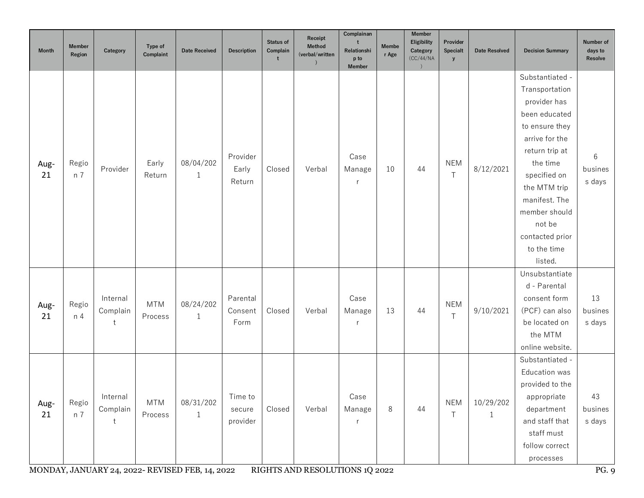| <b>Month</b> | <b>Member</b><br>Region | Category                  | Type of<br>Complaint  | <b>Date Received</b>                                                         | <b>Description</b>            | <b>Status of</b><br>Complain<br>t | Receipt<br>Method<br>(verbal/written     | Complainan<br>Relationshi<br>p to<br>Member | <b>Membe</b><br>r Age | <b>Member</b><br><b>Eligibility</b><br>Category<br>(CC/44/NA | Provider<br>Specialt<br>y | <b>Date Resolved</b>      | <b>Decision Summary</b>                                                                                                                                                                                                                                       | Number of<br>days to<br>Resolve  |
|--------------|-------------------------|---------------------------|-----------------------|------------------------------------------------------------------------------|-------------------------------|-----------------------------------|------------------------------------------|---------------------------------------------|-----------------------|--------------------------------------------------------------|---------------------------|---------------------------|---------------------------------------------------------------------------------------------------------------------------------------------------------------------------------------------------------------------------------------------------------------|----------------------------------|
| Aug-<br>21   | Regio<br>n 7            | Provider                  | Early<br>Return       | 08/04/202<br>$\mathbf{1}$                                                    | Provider<br>Early<br>Return   | Closed                            | Verbal                                   | Case<br>Manage<br>r                         | 10                    | 44                                                           | <b>NEM</b><br>$\top$      | 8/12/2021                 | Substantiated -<br>Transportation<br>provider has<br>been educated<br>to ensure they<br>arrive for the<br>return trip at<br>the time<br>specified on<br>the MTM trip<br>manifest. The<br>member should<br>not be<br>contacted prior<br>to the time<br>listed. | 6<br>busines<br>s days           |
| Aug-<br>21   | Regio<br>n <sub>4</sub> | Internal<br>Complain<br>t | <b>MTM</b><br>Process | 08/24/202<br>$\mathbf{1}$                                                    | Parental<br>Consent<br>Form   | Closed                            | Verbal                                   | Case<br>Manage                              | 13                    | 44                                                           | <b>NEM</b><br>$\top$      | 9/10/2021                 | Unsubstantiate<br>d - Parental<br>consent form<br>(PCF) can also<br>be located on<br>the MTM<br>online website.                                                                                                                                               | 13<br>busines<br>s days          |
| Aug-<br>21   | Regio<br>n 7            | Internal<br>Complain      | <b>MTM</b><br>Process | 08/31/202<br>$\mathbf{1}$<br>MONDAY, JANUARY 24, 2022- REVISED FEB, 14, 2022 | Time to<br>secure<br>provider | Closed                            | Verbal<br>RIGHTS AND RESOLUTIONS 1Q 2022 | Case<br>Manage                              | 8                     | 44                                                           | <b>NEM</b><br>Τ           | 10/29/202<br>$\mathbf{1}$ | Substantiated -<br>Education was<br>provided to the<br>appropriate<br>department<br>and staff that<br>staff must<br>follow correct<br>processes                                                                                                               | 43<br>busines<br>s days<br>PG. 9 |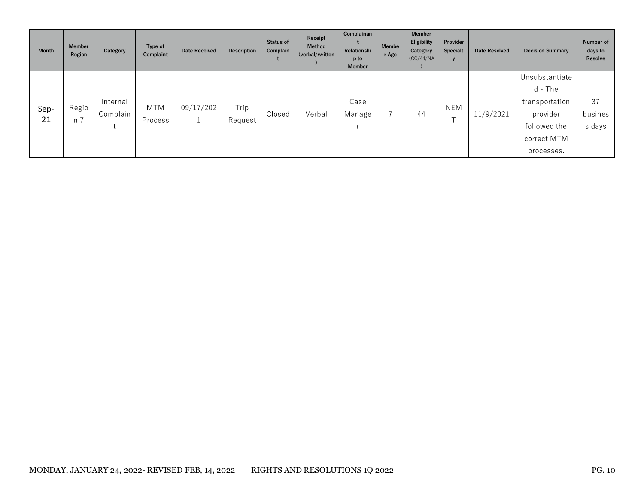| <b>Month</b> | <b>Member</b><br>Region | Category             | Type of<br>Complaint | <b>Date Received</b> | <b>Description</b> | <b>Status of</b><br>Complain | Receipt<br><b>Method</b><br>(verbal/written | Complainan<br>Relationshi<br>p to<br><b>Member</b> | <b>Membe</b><br>r Age | <b>Member</b><br><b>Eligibility</b><br>Category<br>(CC/44/NA) | Provider<br>Specialt            | Date Resolved | <b>Decision Summary</b>                                                                              | Number of<br>days to<br>Resolve |
|--------------|-------------------------|----------------------|----------------------|----------------------|--------------------|------------------------------|---------------------------------------------|----------------------------------------------------|-----------------------|---------------------------------------------------------------|---------------------------------|---------------|------------------------------------------------------------------------------------------------------|---------------------------------|
| Sep-<br>21   | Regio<br>n 7            | Internal<br>Complain | MTM<br>Process       | 09/17/202            | Trip<br>Request    | Closed                       | Verbal                                      | Case<br>Manage                                     |                       | 44                                                            | NEM<br>$\overline{\phantom{0}}$ | 11/9/2021     | Unsubstantiate<br>d - The<br>transportation<br>provider<br>followed the<br>correct MTM<br>processes. | 37<br>busines<br>s days         |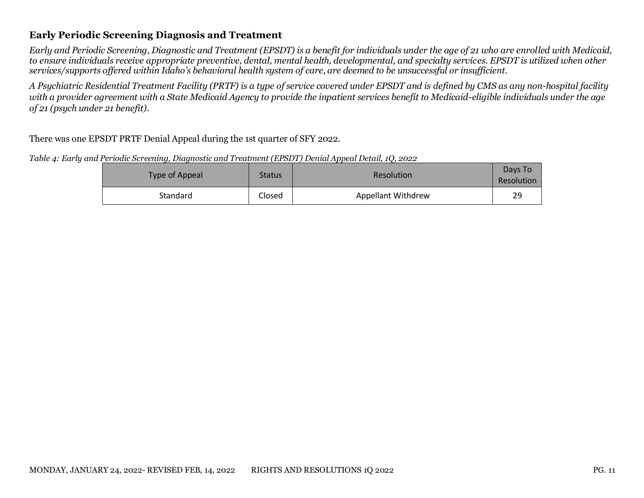#### <span id="page-11-0"></span>**Early Periodic Screening Diagnosis and Treatment**

*Early and Periodic Screening, Diagnostic and Treatment (EPSDT) is a benefit for individuals under the age of 21 who are enrolled with Medicaid, to ensure individuals receive appropriate preventive, dental, mental health, developmental, and specialty services. EPSDT is utilized when other services/supports offered within Idaho's behavioral health system of care, are deemed to be unsuccessful or insufficient.* 

*A Psychiatric Residential Treatment Facility (PRTF) is a type of service covered under EPSDT and is defined by CMS as any non-hospital facility with a provider agreement with a State Medicaid Agency to provide the inpatient services benefit to Medicaid-eligible individuals under the age of 21 (psych under 21 benefit).* 

There was one EPSDT PRTF Denial Appeal during the 1st quarter of SFY 2022.

<span id="page-11-1"></span>*Table 4: Early and Periodic Screening, Diagnostic and Treatment (EPSDT) Denial Appeal Detail, 1Q, 2022*

| Type of Appeal | <b>Status</b> | Resolution                | Days To<br>Resolution |
|----------------|---------------|---------------------------|-----------------------|
| Standard       | Closed        | <b>Appellant Withdrew</b> | 29                    |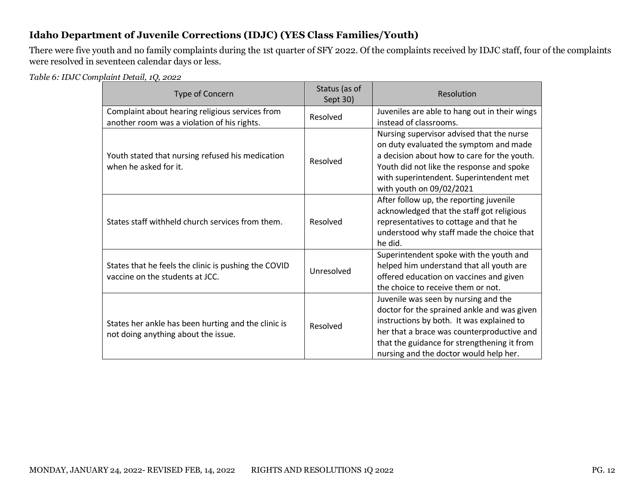#### <span id="page-12-0"></span>**Idaho Department of Juvenile Corrections (IDJC) (YES Class Families/Youth)**

There were five youth and no family complaints during the 1st quarter of SFY 2022. Of the complaints received by IDJC staff, four of the complaints were resolved in seventeen calendar days or less.

<span id="page-12-1"></span>*Table 6: IDJC Complaint Detail, 1Q, 2022*

| Type of Concern                                                                                | Status (as of<br>Sept 30) | Resolution                                                                                                                                                                                                                                                              |
|------------------------------------------------------------------------------------------------|---------------------------|-------------------------------------------------------------------------------------------------------------------------------------------------------------------------------------------------------------------------------------------------------------------------|
| Complaint about hearing religious services from<br>another room was a violation of his rights. | Resolved                  | Juveniles are able to hang out in their wings<br>instead of classrooms.                                                                                                                                                                                                 |
| Youth stated that nursing refused his medication<br>when he asked for it.                      | Resolved                  | Nursing supervisor advised that the nurse<br>on duty evaluated the symptom and made<br>a decision about how to care for the youth.<br>Youth did not like the response and spoke<br>with superintendent. Superintendent met<br>with youth on 09/02/2021                  |
| States staff withheld church services from them.                                               | Resolved                  | After follow up, the reporting juvenile<br>acknowledged that the staff got religious<br>representatives to cottage and that he<br>understood why staff made the choice that<br>he did.                                                                                  |
| States that he feels the clinic is pushing the COVID<br>vaccine on the students at JCC.        | Unresolved                | Superintendent spoke with the youth and<br>helped him understand that all youth are<br>offered education on vaccines and given<br>the choice to receive them or not.                                                                                                    |
| States her ankle has been hurting and the clinic is<br>not doing anything about the issue.     | Resolved                  | Juvenile was seen by nursing and the<br>doctor for the sprained ankle and was given<br>instructions by both. It was explained to<br>her that a brace was counterproductive and<br>that the guidance for strengthening it from<br>nursing and the doctor would help her. |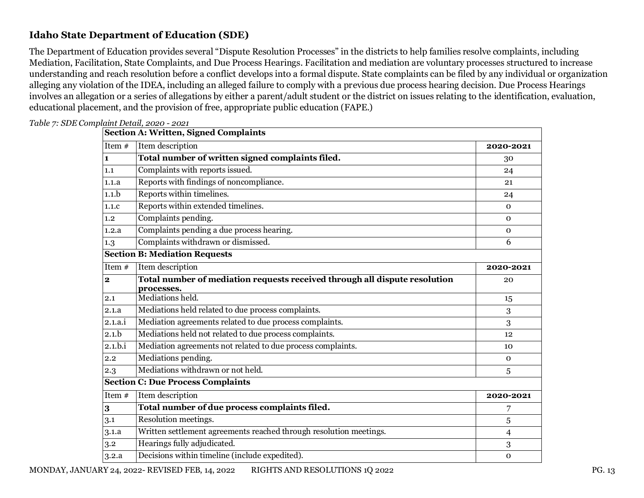#### <span id="page-13-0"></span>**Idaho State Department of Education (SDE)**

The Department of Education provides several "Dispute Resolution Processes" in the districts to help families resolve complaints, including Mediation, Facilitation, State Complaints, and Due Process Hearings. Facilitation and mediation are voluntary processes structured to increase understanding and reach resolution before a conflict develops into a formal dispute. State complaints can be filed by any individual or organization alleging any violation of the IDEA, including an alleged failure to comply with a previous due process hearing decision. Due Process Hearings involves an allegation or a series of allegations by either a parent/adult student or the district on issues relating to the identification, evaluation, educational placement, and the provision of free, appropriate public education (FAPE.)

|                  | <b>Section A: Written, Signed Complaints</b>                               |                |
|------------------|----------------------------------------------------------------------------|----------------|
| Item #           | Item description                                                           | 2020-2021      |
| 1                | Total number of written signed complaints filed.                           | 30             |
| 1.1              | Complaints with reports issued.                                            | 24             |
| 1.1.a            | Reports with findings of noncompliance.                                    | 21             |
| 1.1 <sub>b</sub> | Reports within timelines.                                                  | 24             |
| 1.1.c            | Reports within extended timelines.                                         | $\mathbf{0}$   |
| 1.2              | Complaints pending.                                                        | $\mathbf 0$    |
| 1.2.a            | Complaints pending a due process hearing.                                  | $\mathbf 0$    |
| 1.3              | Complaints withdrawn or dismissed.                                         | 6              |
|                  | <b>Section B: Mediation Requests</b>                                       |                |
| Item #           | Item description                                                           | 2020-2021      |
| $\mathbf{2}$     | Total number of mediation requests received through all dispute resolution | 20             |
| 2.1              | processes.<br>Mediations held.                                             | 15             |
| 2.1.a            | Mediations held related to due process complaints.                         | 3              |
| 2.1.a.i          | Mediation agreements related to due process complaints.                    | 3              |
| 2.1.b            | Mediations held not related to due process complaints.                     | 12             |
| 2.1.b.i          | Mediation agreements not related to due process complaints.                | 10             |
| 2.2              | Mediations pending.                                                        | $\mathbf 0$    |
| 2.3              | Mediations withdrawn or not held.                                          |                |
|                  | <b>Section C: Due Process Complaints</b>                                   | 5              |
| Item #           |                                                                            |                |
|                  | Item description                                                           | 2020-2021      |
| 3                | Total number of due process complaints filed.                              | 7              |
| 3.1              | Resolution meetings.                                                       | 5              |
| 3.1.a            | Written settlement agreements reached through resolution meetings.         | $\overline{4}$ |
| 3.2              | Hearings fully adjudicated.                                                | 3              |
| 3.2.a            | Decisions within timeline (include expedited).                             | $\mathbf{O}$   |

<span id="page-13-1"></span>*Table 7: SDE Complaint Detail, 2020 - 2021*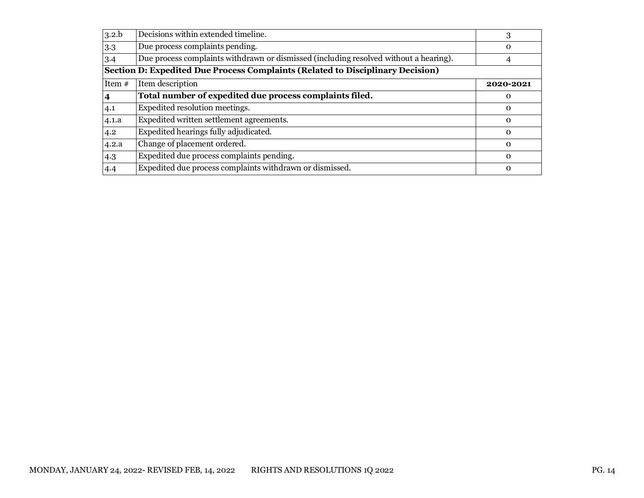| 3.2.b                                                                                 | Decisions within extended timeline.                                                   | 3           |
|---------------------------------------------------------------------------------------|---------------------------------------------------------------------------------------|-------------|
| 3.3                                                                                   | Due process complaints pending.                                                       | $\Omega$    |
| 3.4                                                                                   | Due process complaints withdrawn or dismissed (including resolved without a hearing). | 4           |
| <b>Section D: Expedited Due Process Complaints (Related to Disciplinary Decision)</b> |                                                                                       |             |
| Item $#$                                                                              | Item description                                                                      | 2020-2021   |
|                                                                                       | Total number of expedited due process complaints filed.                               | $\Omega$    |
| 4.1                                                                                   | Expedited resolution meetings.                                                        | $\Omega$    |
| 4.1.a                                                                                 | Expedited written settlement agreements.                                              | $\Omega$    |
| 4.2                                                                                   | Expedited hearings fully adjudicated.                                                 | $\Omega$    |
| 4.2.a                                                                                 | Change of placement ordered.                                                          | $\Omega$    |
| 4.3                                                                                   | Expedited due process complaints pending.                                             | $\Omega$    |
| 4.4                                                                                   | Expedited due process complaints withdrawn or dismissed.                              | $\mathbf 0$ |